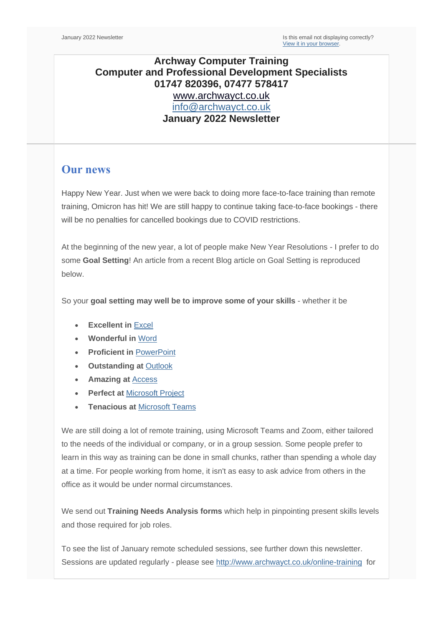## **Archway Computer Training Computer and Professional Development Specialists 01747 820396, 07477 578417** [www.archwayct.co.uk](http://www.archwayct.co.uk/) [info@archwayct.co.uk](mailto:%20info@archwayct.co.uk) **January 2022 Newsletter**

## **Our news**

Happy New Year. Just when we were back to doing more face-to-face training than remote training, Omicron has hit! We are still happy to continue taking face-to-face bookings - there will be no penalties for cancelled bookings due to COVID restrictions.

At the beginning of the new year, a lot of people make New Year Resolutions - I prefer to do some **Goal Setting**! An article from a recent Blog article on Goal Setting is reproduced below.

So your **goal setting may well be to improve some of your skills** - whether it be

- **Excellent in** [Excel](http://www.archwayct.co.uk/microsoft-office-training/microsoft-excel-training)
- **Wonderful in** [Word](http://www.archwayct.co.uk/microsoft-office-training/microsoft-word-training)
- **Proficient in** [PowerPoint](http://www.archwayct.co.uk/microsoft-office-training/microsoft-powerpoint-training)
- **Outstanding at** [Outlook](http://www.archwayct.co.uk/microsoft-office-training/microsoft-outlook-training)
- **Amazing at** [Access](http://www.archwayct.co.uk/microsoft-office-training/microsoft-access-training)
- **Perfect at [Microsoft Project](http://www.archwayct.co.uk/it-training/microsoft-project-training)**
- **Tenacious at** [Microsoft Te](http://www.jmdtraining.co.uk/microsoft-office-training/microsoft-teams-training)[ams](http://www.archwayct.co.uk/microsoft-office-training/microsoft-teams-training)

We are still doing a lot of remote training, using Microsoft Teams and Zoom, either tailored to the needs of the individual or company, or in a group session. Some people prefer to learn in this way as training can be done in small chunks, rather than spending a whole day at a time. For people working from home, it isn't as easy to ask advice from others in the office as it would be under normal circumstances.

We send out **Training Needs Analysis forms** which help in pinpointing present skills levels and those required for job roles.

To see the list of January remote scheduled sessions, see further down this newsletter. Sessions are updated regularly - please see<http://www.archwayct.co.uk/online-training> for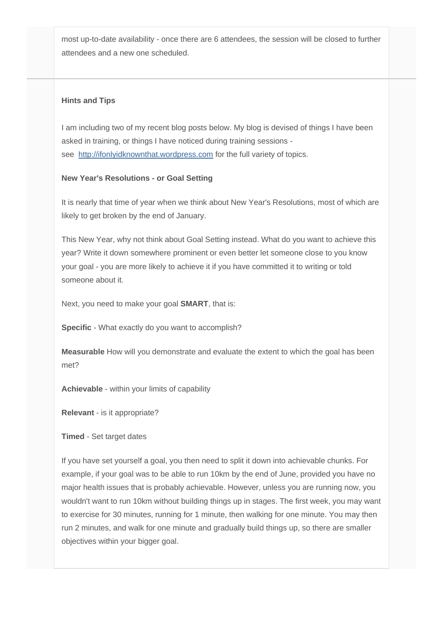most up-to-date availability - once there are 6 attendees, the session will be closed to further attendees and a new one scheduled.

#### **Hints and Tips**

I am including two of my recent blog posts below. My blog is devised of things I have been asked in training, or things I have noticed during training sessions see [http://ifonlyidknownthat.wordpress.com](http://ifonlyidknownthat.wordpress.com/) for the full variety of topics.

#### **New Year's Resolutions - or Goal Setting**

It is nearly that time of year when we think about New Year's Resolutions, most of which are likely to get broken by the end of January.

This New Year, why not think about Goal Setting instead. What do you want to achieve this year? Write it down somewhere prominent or even better let someone close to you know your goal - you are more likely to achieve it if you have committed it to writing or told someone about it.

Next, you need to make your goal **SMART**, that is:

**Specific** - What exactly do you want to accomplish?

**Measurable** How will you demonstrate and evaluate the extent to which the goal has been met?

**Achievable** - within your limits of capability

**Relevant** - is it appropriate?

### **Timed** - Set target dates

If you have set yourself a goal, you then need to split it down into achievable chunks. For example, if your goal was to be able to run 10km by the end of June, provided you have no major health issues that is probably achievable. However, unless you are running now, you wouldn't want to run 10km without building things up in stages. The first week, you may want to exercise for 30 minutes, running for 1 minute, then walking for one minute. You may then run 2 minutes, and walk for one minute and gradually build things up, so there are smaller objectives within your bigger goal.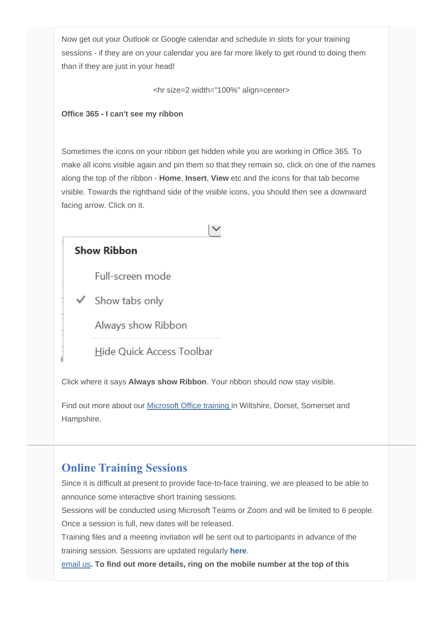Now get out your Outlook or Google calendar and schedule in slots for your training sessions - if they are on your calendar you are far more likely to get round to doing them than if they are just in your head!

<hr size=2 width="100%" align=center>

#### **Office 365 - I can't see my ribbon**

Sometimes the icons on your ribbon get hidden while you are working in Office 365. To make all icons visible again and pin them so that they remain so, click on one of the names along the top of the ribbon - **Home**, **Insert**, **View** etc and the icons for that tab become visible. Towards the righthand side of the visible icons, you should then see a downward facing arrow. Click on it.

 $\checkmark$ 

**Show Ribbon** 

Full-screen mode

 $\checkmark$  Show tabs only

Always show Ribbon

**Hide Quick Access Toolbar** 

Click where it says **Always show Ribbon**. Your ribbon should now stay visible.

Find out more about our [Microsoft Office training](http://www.jmdtraining.co.uk/microsoft-office-training) in Wiltshire, Dorset, Somerset and Hampshire.

# **Online Training Sessions**

Since it is difficult at present to provide face-to-face training, we are pleased to be able to announce some interactive short training sessions.

Sessions will be conducted using Microsoft Teams or Zoom and will be limited to 6 people. Once a session is full, new dates will be released.

Training files and a meeting invitation will be sent out to participants in advance of the training session. Sessions are updated regularly **[here](http://www.archwayct.co.uk/online-training)**.

[email us](mailto:janet@archwayct.co.uk?subject=Online%20training)**. To find out more details, ring on the mobile number at the top of this**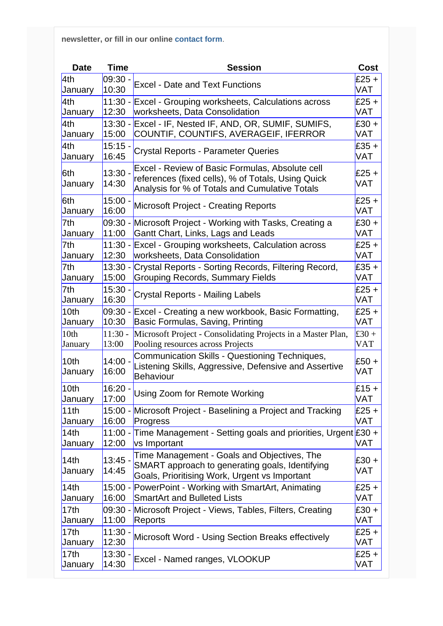**newsletter, or fill in our online [contact form](http://www.archwayct.co.uk/contact)**.

| <b>Date</b>      | <b>Time</b>        | <b>Session</b>                                                                                                                                          | <b>Cost</b>           |
|------------------|--------------------|---------------------------------------------------------------------------------------------------------------------------------------------------------|-----------------------|
| 4th              | $09:30 -$          | <b>Excel - Date and Text Functions</b>                                                                                                                  | $£25 +$               |
| January          | 10:30              | <b>Excel - Grouping worksheets, Calculations across</b>                                                                                                 | <b>VAT</b>            |
| 4th              | $11:30 -$          |                                                                                                                                                         | $E25 +$               |
| January          | 12:30              | worksheets, Data Consolidation                                                                                                                          | <b>VAT</b>            |
| 4th              | $13:30 -$          | Excel - IF, Nested IF, AND, OR, SUMIF, SUMIFS,                                                                                                          | $E30 +$               |
| January          | 15:00              | COUNTIF, COUNTIFS, AVERAGEIF, IFERROR                                                                                                                   | <b>VAT</b>            |
| 4th              | $15:15 -$          | <b>Crystal Reports - Parameter Queries</b>                                                                                                              | $£35 +$               |
| January          | 16:45              |                                                                                                                                                         | <b>VAT</b>            |
| 6th<br>January   | $13:30 -$<br>14:30 | Excel - Review of Basic Formulas, Absolute cell<br>references (fixed cells), % of Totals, Using Quick<br>Analysis for % of Totals and Cumulative Totals | $£25 +$<br><b>VAT</b> |
| 6th              | $15:00 -$          | <b>Microsoft Project - Creating Reports</b>                                                                                                             | $£25 +$               |
| January          | 16:00              |                                                                                                                                                         | <b>VAT</b>            |
| 7th              | 09:30 -            | Microsoft Project - Working with Tasks, Creating a                                                                                                      | $E30 +$               |
| January          | 11:00              | Gantt Chart, Links, Lags and Leads                                                                                                                      | <b>VAT</b>            |
| 7th              | $11:30 -$          | <b>Excel - Grouping worksheets, Calculation across</b>                                                                                                  | $£25 +$               |
| January          | 12:30              | worksheets, Data Consolidation                                                                                                                          | <b>VAT</b>            |
| 7th              | $13:30 -$          | Crystal Reports - Sorting Records, Filtering Record,                                                                                                    | $£35 +$               |
| January          | 15:00              | <b>Grouping Records, Summary Fields</b>                                                                                                                 | <b>VAT</b>            |
| 7th              | $15:30 -$          | <b>Crystal Reports - Mailing Labels</b>                                                                                                                 | $E25 +$               |
| January          | 16:30              |                                                                                                                                                         | <b>VAT</b>            |
| 10 <sub>th</sub> | 09:30 -            | Excel - Creating a new workbook, Basic Formatting,                                                                                                      | $E25 +$               |
| January          | 10:30              | Basic Formulas, Saving, Printing                                                                                                                        | <b>VAT</b>            |
| 10th             | $11:30 -$          | Microsoft Project - Consolidating Projects in a Master Plan,                                                                                            | £30 +                 |
| January          | 13:00              | Pooling resources across Projects                                                                                                                       | <b>VAT</b>            |
| 10th<br>January  | $14:00 -$<br>16:00 | Communication Skills - Questioning Techniques,<br>Listening Skills, Aggressive, Defensive and Assertive<br>Behaviour                                    | $E50 +$<br><b>VAT</b> |
| 10th             | $16:20 -$          | Using Zoom for Remote Working                                                                                                                           | $£15 +$               |
| January          | 17:00              |                                                                                                                                                         | <b>VAT</b>            |
| 11th             | 16:00              | 15:00 - Microsoft Project - Baselining a Project and Tracking                                                                                           | £25 +                 |
| January          |                    | Progress                                                                                                                                                | <b>VAT</b>            |
| 14th<br>January  | 12:00              | 11:00 - Time Management - Setting goals and priorities, Urgent £30 +<br>vs Important                                                                    | <b>VAT</b>            |
| 14th<br>January  | $13:45 -$<br>14:45 | Time Management - Goals and Objectives, The<br>SMART approach to generating goals, Identifying<br>Goals, Prioritising Work, Urgent vs Important         | £30 +<br>VAT          |
| 14th             | 16:00              | 15:00 - PowerPoint - Working with SmartArt, Animating                                                                                                   | $E25 +$               |
| January          |                    | <b>SmartArt and Bulleted Lists</b>                                                                                                                      | <b>VAT</b>            |
| 17th             | 09:30 -            | Microsoft Project - Views, Tables, Filters, Creating                                                                                                    | $E30 +$               |
| January          | 11:00              | Reports                                                                                                                                                 | <b>VAT</b>            |
| 17 <sub>th</sub> | $11:30 -$          | Microsoft Word - Using Section Breaks effectively                                                                                                       | $£25 +$               |
| January          | 12:30              |                                                                                                                                                         | <b>VAT</b>            |
| 17 <sub>th</sub> | $13:30 -$          | Excel - Named ranges, VLOOKUP                                                                                                                           | $E25 +$               |
| January          | 14:30              |                                                                                                                                                         | <b>VAT</b>            |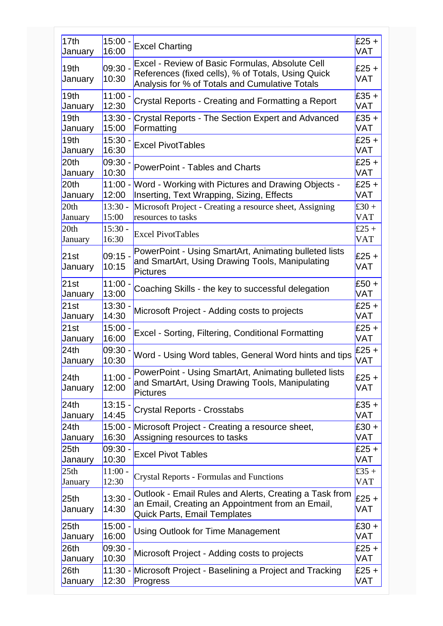| 17 <sub>th</sub>            | $15:00 -$           | <b>Excel Charting</b>                                                                                                                                   | $£25 +$               |
|-----------------------------|---------------------|---------------------------------------------------------------------------------------------------------------------------------------------------------|-----------------------|
| January                     | 16:00               |                                                                                                                                                         | <b>VAT</b>            |
| 19 <sub>th</sub><br>January | $ 09:30 -$<br>10:30 | Excel - Review of Basic Formulas, Absolute Cell<br>References (fixed cells), % of Totals, Using Quick<br>Analysis for % of Totals and Cumulative Totals | $£25 +$<br>VAT        |
| 19 <sub>th</sub>            | $11:00 -$           | Crystal Reports - Creating and Formatting a Report                                                                                                      | $£35 +$               |
| January                     | 12:30               |                                                                                                                                                         | VAT                   |
| 19 <sub>th</sub>            | 13:30 -             | Crystal Reports - The Section Expert and Advanced                                                                                                       | $£35 +$               |
| January                     | 15:00               | Formatting                                                                                                                                              | VAT                   |
| 19th                        | $15:30 -$           | <b>Excel PivotTables</b>                                                                                                                                | $£25 +$               |
| January                     | 16:30               |                                                                                                                                                         | <b>VAT</b>            |
| 20th                        | $ 09:30 -$          | PowerPoint - Tables and Charts                                                                                                                          | $£25 +$               |
| January                     | 10:30               |                                                                                                                                                         | <b>VAT</b>            |
| 20th                        | $11:00 -$           | Word - Working with Pictures and Drawing Objects -                                                                                                      | $£25 +$               |
| January                     | 12:00               | Inserting, Text Wrapping, Sizing, Effects                                                                                                               | VAT                   |
| 20th                        | $13:30 -$           | Microsoft Project - Creating a resource sheet, Assigning                                                                                                | £30 +                 |
| January                     | 15:00               | resources to tasks                                                                                                                                      | <b>VAT</b>            |
| 20th                        | $15:30 -$           | <b>Excel PivotTables</b>                                                                                                                                | £25 +                 |
| January                     | 16:30               |                                                                                                                                                         | <b>VAT</b>            |
| 21st<br>January             | $ 09:15 -$<br>10:15 | PowerPoint - Using SmartArt, Animating bulleted lists<br>and SmartArt, Using Drawing Tools, Manipulating<br>Pictures                                    | $£25 +$<br><b>VAT</b> |
| 21st                        | $11:00 -$           | Coaching Skills - the key to successful delegation                                                                                                      | $£50 +$               |
| January                     | 13:00               |                                                                                                                                                         | VAT                   |
| 21st                        | 13:30               | Microsoft Project - Adding costs to projects                                                                                                            | $£25 +$               |
| January                     | 14:30               |                                                                                                                                                         | VAT                   |
| 21st                        | $15:00 -$           | Excel - Sorting, Filtering, Conditional Formatting                                                                                                      | $£25 +$               |
| January                     | 16:00               |                                                                                                                                                         | <b>VAT</b>            |
| 24th                        | 09:30               | Word - Using Word tables, General Word hints and tips                                                                                                   | $£25 +$               |
| January                     | 10:30               |                                                                                                                                                         | VAT                   |
| 24th<br>January             | $11:00 -$<br>12:00  | PowerPoint - Using SmartArt, Animating bulleted lists<br>and SmartArt, Using Drawing Tools, Manipulating<br><b>Pictures</b>                             | £25 $+$<br>VAT        |
| 24th                        | $13:15 -$           | <b>Crystal Reports - Crosstabs</b>                                                                                                                      | $£35 +$               |
| January                     | 14:45               |                                                                                                                                                         | VAT                   |
| 24th                        | 16:30               | 15:00 - Microsoft Project - Creating a resource sheet,                                                                                                  | $£30 +$               |
| January                     |                     | Assigning resources to tasks                                                                                                                            | <b>VAT</b>            |
| 25 <sub>th</sub>            | 09:30 -             | <b>Excel Pivot Tables</b>                                                                                                                               | $£25 +$               |
| Janaury                     | 10:30               |                                                                                                                                                         | <b>VAT</b>            |
| 25 <sub>th</sub>            | $11:00 -$           | <b>Crystal Reports - Formulas and Functions</b>                                                                                                         | £35 +                 |
| January                     | 12:30               |                                                                                                                                                         | <b>VAT</b>            |
| 25 <sub>th</sub><br>January | $13:30 -$<br>14:30  | Outlook - Email Rules and Alerts, Creating a Task from<br>an Email, Creating an Appointment from an Email,<br>Quick Parts, Email Templates              | $£25 +$<br>VAT        |
| 25 <sub>th</sub>            | $15:00 -$           | <b>Using Outlook for Time Management</b>                                                                                                                | $£30 +$               |
| January                     | 16:00               |                                                                                                                                                         | VAT                   |
| 26th                        | 09:30               | Microsoft Project - Adding costs to projects                                                                                                            | $£25 +$               |
| January                     | 10:30               |                                                                                                                                                         | VAT                   |
| 26th                        | $11:30 -$           | Microsoft Project - Baselining a Project and Tracking                                                                                                   | $£25 +$               |
| January                     | 12:30               | Progress                                                                                                                                                | VAT                   |
|                             |                     |                                                                                                                                                         |                       |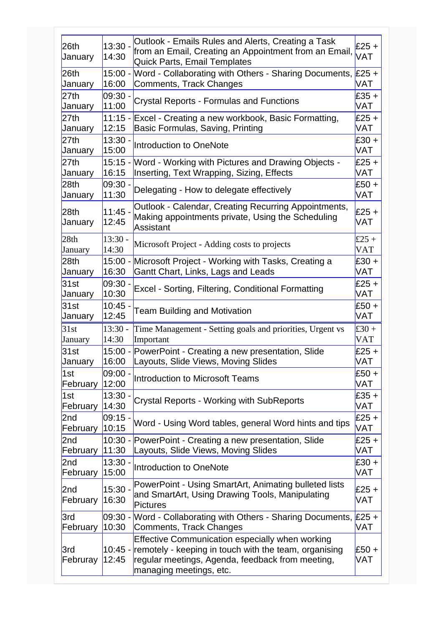| 26th<br>January             | $13:30 -$<br>14:30 | Outlook - Emails Rules and Alerts, Creating a Task<br>from an Email, Creating an Appointment from an Email,<br>Quick Parts, Email Templates                                                     | £25+<br><b>VAT</b>    |
|-----------------------------|--------------------|-------------------------------------------------------------------------------------------------------------------------------------------------------------------------------------------------|-----------------------|
| 26th                        | $15:00 -$          | Word - Collaborating with Others - Sharing Documents, £25 +                                                                                                                                     | VAT                   |
| January                     | 16:00              | Comments, Track Changes                                                                                                                                                                         |                       |
| 27th                        | $09:30 -$          | Crystal Reports - Formulas and Functions                                                                                                                                                        | $£35 +$               |
| January                     | 11:00              |                                                                                                                                                                                                 | VAT                   |
| 27th                        | $11:15 -$          | Excel - Creating a new workbook, Basic Formatting,                                                                                                                                              | $£25 +$               |
| January                     | 12:15              | Basic Formulas, Saving, Printing                                                                                                                                                                | <b>VAT</b>            |
| 27th                        | $13:30 -$          | Introduction to OneNote                                                                                                                                                                         | $£30 +$               |
| January                     | 15:00              |                                                                                                                                                                                                 | <b>VAT</b>            |
| 27th                        | 16:15              | 15:15 - Word - Working with Pictures and Drawing Objects -                                                                                                                                      | $£25 +$               |
| January                     |                    | Inserting, Text Wrapping, Sizing, Effects                                                                                                                                                       | VAT                   |
| 28th                        | 09:30 -            | Delegating - How to delegate effectively                                                                                                                                                        | $£50 +$               |
| January                     | 11:30              |                                                                                                                                                                                                 | <b>VAT</b>            |
| 28 <sub>th</sub><br>January | $11:45 -$<br>12:45 | Outlook - Calendar, Creating Recurring Appointments,<br>Making appointments private, Using the Scheduling<br>Assistant                                                                          | $£25 +$<br>VAT        |
| 28 <sub>th</sub>            | $13:30 -$          | Microsoft Project - Adding costs to projects                                                                                                                                                    | £25 +                 |
| January                     | 14:30              |                                                                                                                                                                                                 | <b>VAT</b>            |
| 28 <sub>th</sub>            | $15:00 -$          | Microsoft Project - Working with Tasks, Creating a                                                                                                                                              | $£30 +$               |
| January                     | 16:30              | Gantt Chart, Links, Lags and Leads                                                                                                                                                              | <b>VAT</b>            |
| 31st                        | $09:30 -$          | <b>Excel - Sorting, Filtering, Conditional Formatting</b>                                                                                                                                       | $£25 +$               |
| January                     | 10:30              |                                                                                                                                                                                                 | VAT                   |
| 31st                        | $10:45 -$          | <b>Team Building and Motivation</b>                                                                                                                                                             | $£50 +$               |
| January                     | 12:45              |                                                                                                                                                                                                 | <b>VAT</b>            |
| 31st                        | $13:30 -$          | Time Management - Setting goals and priorities, Urgent vs                                                                                                                                       | £30 +                 |
| January                     | 14:30              | Important                                                                                                                                                                                       | <b>VAT</b>            |
| 31st                        | $15:00 -$          | PowerPoint - Creating a new presentation, Slide                                                                                                                                                 | $£25 +$               |
| January                     | 16:00              | Layouts, Slide Views, Moving Slides                                                                                                                                                             | <b>VAT</b>            |
| 1st                         | $09:00 -$          | Introduction to Microsoft Teams                                                                                                                                                                 | $£50 +$               |
| February                    | 12:00              |                                                                                                                                                                                                 | <b>VAT</b>            |
| 1st                         | $13:30 -$          | Crystal Reports - Working with SubReports                                                                                                                                                       | $£35 +$               |
| February                    | 14:30              |                                                                                                                                                                                                 | <b>VAT</b>            |
| 2nd                         | $09:15 -$          | Word - Using Word tables, general Word hints and tips                                                                                                                                           | $£25 +$               |
| February                    | 10:15              |                                                                                                                                                                                                 | <b>VAT</b>            |
| 2nd                         | $10:30 -$          | PowerPoint - Creating a new presentation, Slide                                                                                                                                                 | $£25 +$               |
| February                    | 11:30              | Layouts, Slide Views, Moving Slides                                                                                                                                                             | <b>VAT</b>            |
| 2nd                         | $13:30 -$          | Introduction to OneNote                                                                                                                                                                         | $£30 +$               |
| February                    | 15:00              |                                                                                                                                                                                                 | <b>VAT</b>            |
| 2nd<br>February             | $15:30 -$<br>16:30 | PowerPoint - Using SmartArt, Animating bulleted lists<br>and SmartArt, Using Drawing Tools, Manipulating<br><b>Pictures</b>                                                                     | $£25 +$<br><b>VAT</b> |
| 3rd                         | 09:30 -            | Word - Collaborating with Others - Sharing Documents, £25 +                                                                                                                                     | <b>VAT</b>            |
| February                    | 10:30              | Comments, Track Changes                                                                                                                                                                         |                       |
| 3rd<br>Februray             | 12:45              | Effective Communication especially when working<br>10:45 - remotely - keeping in touch with the team, organising<br>regular meetings, Agenda, feedback from meeting,<br>managing meetings, etc. | £50 +<br><b>VAT</b>   |